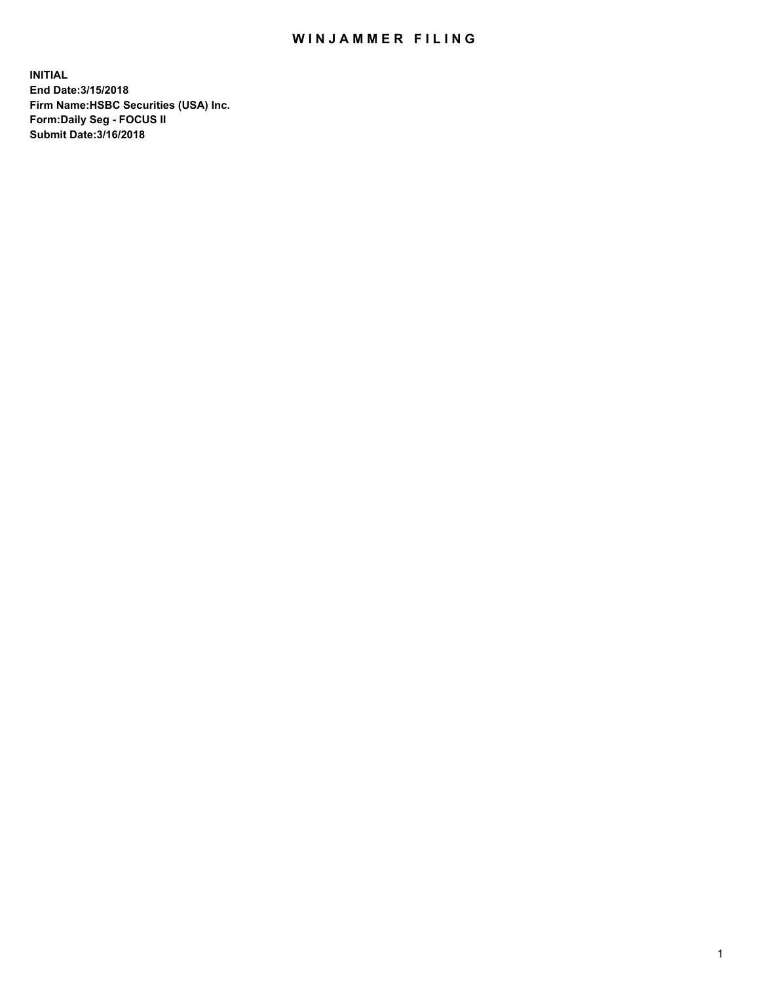## WIN JAMMER FILING

**INITIAL End Date:3/15/2018 Firm Name:HSBC Securities (USA) Inc. Form:Daily Seg - FOCUS II Submit Date:3/16/2018**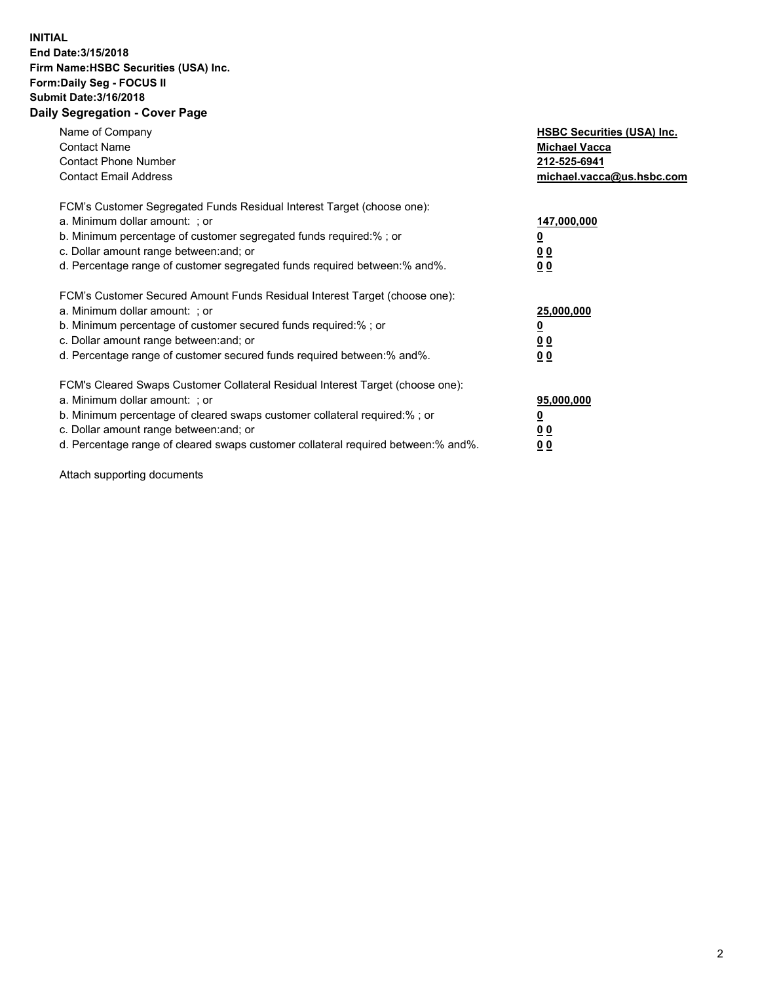## **INITIAL End Date:3/15/2018 Firm Name:HSBC Securities (USA) Inc. Form:Daily Seg - FOCUS II Submit Date:3/16/2018 Daily Segregation - Cover Page**

| Name of Company<br><b>Contact Name</b><br><b>Contact Phone Number</b><br><b>Contact Email Address</b>                                                                                                                                                                                                                         | <b>HSBC Securities (USA) Inc.</b><br><b>Michael Vacca</b><br>212-525-6941<br>michael.vacca@us.hsbc.com |
|-------------------------------------------------------------------------------------------------------------------------------------------------------------------------------------------------------------------------------------------------------------------------------------------------------------------------------|--------------------------------------------------------------------------------------------------------|
| FCM's Customer Segregated Funds Residual Interest Target (choose one):<br>a. Minimum dollar amount: ; or<br>b. Minimum percentage of customer segregated funds required:%; or<br>c. Dollar amount range between: and; or<br>d. Percentage range of customer segregated funds required between:% and%.                         | 147,000,000<br><u>0</u><br>0 <sub>0</sub><br>0 <sub>0</sub>                                            |
| FCM's Customer Secured Amount Funds Residual Interest Target (choose one):<br>a. Minimum dollar amount: ; or<br>b. Minimum percentage of customer secured funds required:%; or<br>c. Dollar amount range between: and; or<br>d. Percentage range of customer secured funds required between: % and %.                         | 25,000,000<br><u>00</u><br>0 <sub>0</sub>                                                              |
| FCM's Cleared Swaps Customer Collateral Residual Interest Target (choose one):<br>a. Minimum dollar amount: ; or<br>b. Minimum percentage of cleared swaps customer collateral required:%; or<br>c. Dollar amount range between: and; or<br>d. Percentage range of cleared swaps customer collateral required between:% and%. | 95,000,000<br>00<br><u>0 0</u>                                                                         |

Attach supporting documents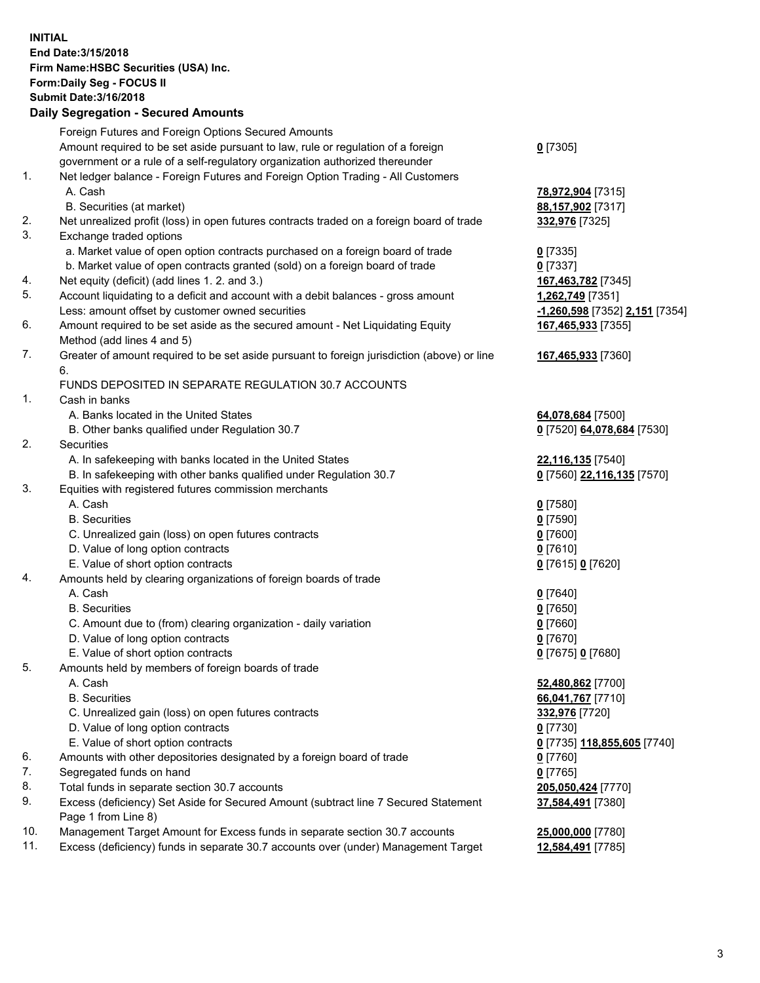**INITIAL End Date:3/15/2018 Firm Name:HSBC Securities (USA) Inc. Form:Daily Seg - FOCUS II Submit Date:3/16/2018 Daily Segregation - Secured Amounts**

Foreign Futures and Foreign Options Secured Amounts Amount required to be set aside pursuant to law, rule or regulation of a foreign government or a rule of a self-regulatory organization authorized thereunder **0** [7305] 1. Net ledger balance - Foreign Futures and Foreign Option Trading - All Customers A. Cash **78,972,904** [7315] B. Securities (at market) **88,157,902** [7317] 2. Net unrealized profit (loss) in open futures contracts traded on a foreign board of trade **332,976** [7325] 3. Exchange traded options a. Market value of open option contracts purchased on a foreign board of trade **0** [7335] b. Market value of open contracts granted (sold) on a foreign board of trade **0** [7337] 4. Net equity (deficit) (add lines 1. 2. and 3.) **167,463,782** [7345] 5. Account liquidating to a deficit and account with a debit balances - gross amount **1,262,749** [7351] Less: amount offset by customer owned securities **-1,260,598** [7352] **2,151** [7354] 6. Amount required to be set aside as the secured amount - Net Liquidating Equity Method (add lines 4 and 5) **167,465,933** [7355] 7. Greater of amount required to be set aside pursuant to foreign jurisdiction (above) or line 6. **167,465,933** [7360] FUNDS DEPOSITED IN SEPARATE REGULATION 30.7 ACCOUNTS 1. Cash in banks A. Banks located in the United States **64,078,684** [7500] B. Other banks qualified under Regulation 30.7 **0** [7520] **64,078,684** [7530] 2. Securities A. In safekeeping with banks located in the United States **22,116,135** [7540] B. In safekeeping with other banks qualified under Regulation 30.7 **0** [7560] **22,116,135** [7570] 3. Equities with registered futures commission merchants A. Cash **0** [7580] B. Securities **0** [7590] C. Unrealized gain (loss) on open futures contracts **0** [7600] D. Value of long option contracts **0** [7610] E. Value of short option contracts **0** [7615] **0** [7620] 4. Amounts held by clearing organizations of foreign boards of trade A. Cash **0** [7640] B. Securities **0** [7650] C. Amount due to (from) clearing organization - daily variation **0** [7660] D. Value of long option contracts **0** [7670] E. Value of short option contracts **0** [7675] **0** [7680] 5. Amounts held by members of foreign boards of trade A. Cash **52,480,862** [7700] B. Securities **66,041,767** [7710] C. Unrealized gain (loss) on open futures contracts **332,976** [7720] D. Value of long option contracts **0** [7730] E. Value of short option contracts **0** [7735] **118,855,605** [7740] 6. Amounts with other depositories designated by a foreign board of trade **0** [7760] 7. Segregated funds on hand **0** [7765] 8. Total funds in separate section 30.7 accounts **205,050,424** [7770] 9. Excess (deficiency) Set Aside for Secured Amount (subtract line 7 Secured Statement Page 1 from Line 8) **37,584,491** [7380] 10. Management Target Amount for Excess funds in separate section 30.7 accounts **25,000,000** [7780] 11. Excess (deficiency) funds in separate 30.7 accounts over (under) Management Target **12,584,491** [7785]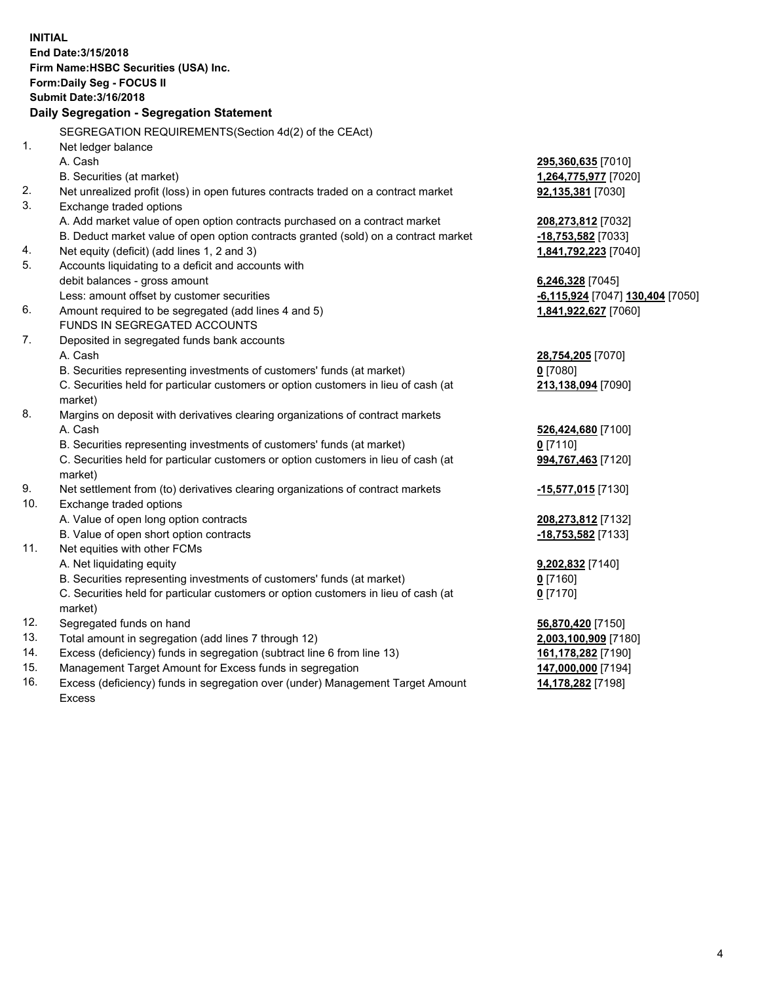**INITIAL End Date:3/15/2018 Firm Name:HSBC Securities (USA) Inc. Form:Daily Seg - FOCUS II Submit Date:3/16/2018 Daily Segregation - Segregation Statement** SEGREGATION REQUIREMENTS(Section 4d(2) of the CEAct) 1. Net ledger balance A. Cash **295,360,635** [7010] B. Securities (at market) **1,264,775,977** [7020] 2. Net unrealized profit (loss) in open futures contracts traded on a contract market **92,135,381** [7030] 3. Exchange traded options A. Add market value of open option contracts purchased on a contract market **208,273,812** [7032] B. Deduct market value of open option contracts granted (sold) on a contract market **-18,753,582** [7033] 4. Net equity (deficit) (add lines 1, 2 and 3) **1,841,792,223** [7040] 5. Accounts liquidating to a deficit and accounts with debit balances - gross amount **6,246,328** [7045] Less: amount offset by customer securities **-6,115,924** [7047] **130,404** [7050] 6. Amount required to be segregated (add lines 4 and 5) **1,841,922,627** [7060] FUNDS IN SEGREGATED ACCOUNTS 7. Deposited in segregated funds bank accounts A. Cash **28,754,205** [7070] B. Securities representing investments of customers' funds (at market) **0** [7080] C. Securities held for particular customers or option customers in lieu of cash (at market) **213,138,094** [7090] 8. Margins on deposit with derivatives clearing organizations of contract markets A. Cash **526,424,680** [7100] B. Securities representing investments of customers' funds (at market) **0** [7110] C. Securities held for particular customers or option customers in lieu of cash (at market) **994,767,463** [7120] 9. Net settlement from (to) derivatives clearing organizations of contract markets **-15,577,015** [7130] 10. Exchange traded options A. Value of open long option contracts **208,273,812** [7132] B. Value of open short option contracts **-18,753,582** [7133] 11. Net equities with other FCMs A. Net liquidating equity **9,202,832** [7140] B. Securities representing investments of customers' funds (at market) **0** [7160] C. Securities held for particular customers or option customers in lieu of cash (at market) **0** [7170] 12. Segregated funds on hand **56,870,420** [7150] 13. Total amount in segregation (add lines 7 through 12) **2,003,100,909** [7180] 14. Excess (deficiency) funds in segregation (subtract line 6 from line 13) **161,178,282** [7190] 15. Management Target Amount for Excess funds in segregation **147,000,000** [7194] **14,178,282** [7198]

16. Excess (deficiency) funds in segregation over (under) Management Target Amount Excess